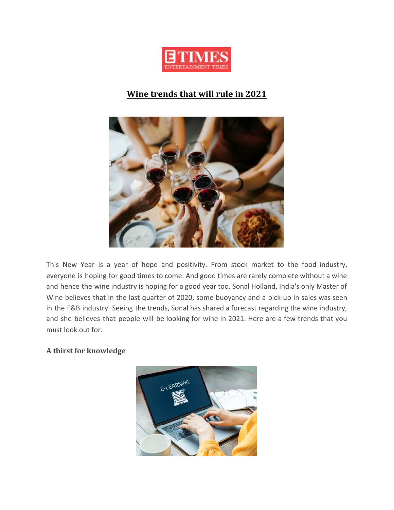

# **Wine trends that will rule in 2021**



This New Year is a year of hope and positivity. From stock market to the food industry, everyone is hoping for good times to come. And good times are rarely complete without a wine and hence the wine industry is hoping for a good year too. Sonal Holland, India's only Master of Wine believes that in the last quarter of 2020, some buoyancy and a pick-up in sales was seen in the F&B industry. Seeing the trends, Sonal has shared a forecast regarding the wine industry, and she believes that people will be looking for wine in 2021. Here are a few trends that you must look out for.

## **A thirst for knowledge**

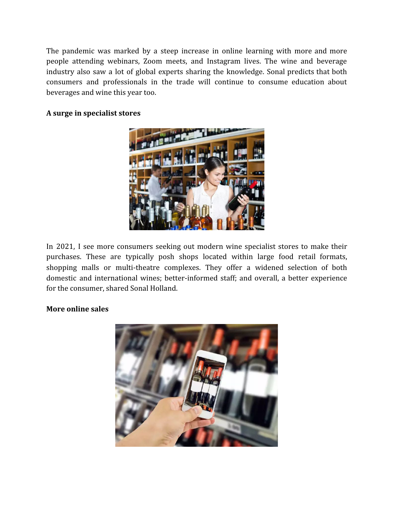The pandemic was marked by a steep increase in online learning with more and more people attending webinars, Zoom meets, and Instagram lives. The wine and beverage industry also saw a lot of global experts sharing the knowledge. Sonal predicts that both consumers and professionals in the trade will continue to consume education about beverages and wine this year too.

## **A surge in specialist stores**



In 2021, I see more consumers seeking out modern wine specialist stores to make their purchases. These are typically posh shops located within large food retail formats, shopping malls or multi-theatre complexes. They offer a widened selection of both domestic and international wines; better-informed staff; and overall, a better experience for the consumer, shared Sonal Holland.

#### **More online sales**

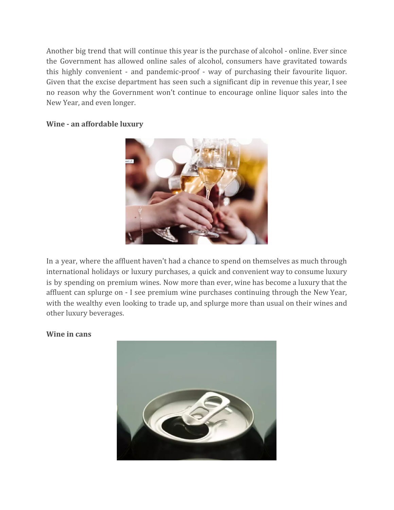Another big trend that will continue this year is the purchase of alcohol - online. Ever since the Government has allowed online sales of alcohol, consumers have gravitated towards this highly convenient - and pandemic-proof - way of purchasing their favourite liquor. Given that the excise department has seen such a significant dip in revenue this year, I see no reason why the Government won't continue to encourage online liquor sales into the New Year, and even longer.

### **Wine - an affordable luxury**



In a year, where the affluent haven't had a chance to spend on themselves as much through international holidays or luxury purchases, a quick and convenient way to consume luxury is by spending on premium wines. Now more than ever, wine has become a luxury that the affluent can splurge on - I see premium wine purchases continuing through the New Year, with the wealthy even looking to trade up, and splurge more than usual on their wines and other luxury beverages.

#### **Wine in cans**